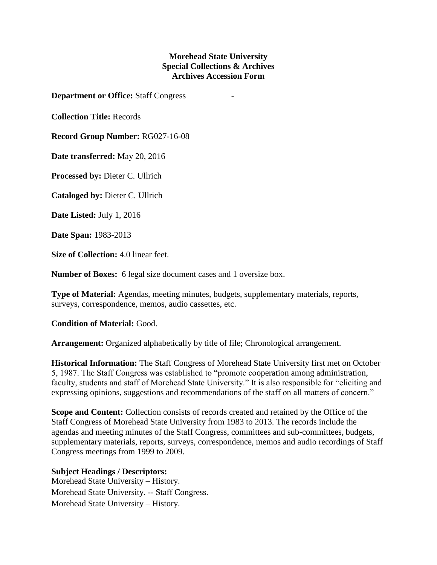## **Morehead State University Special Collections & Archives Archives Accession Form**

**Department or Office:** Staff Congress -

**Collection Title:** Records

**Record Group Number:** RG027-16-08

**Date transferred:** May 20, 2016

**Processed by:** Dieter C. Ullrich

**Cataloged by:** Dieter C. Ullrich

**Date Listed:** July 1, 2016

**Date Span:** 1983-2013

**Size of Collection:** 4.0 linear feet.

**Number of Boxes:** 6 legal size document cases and 1 oversize box.

**Type of Material:** Agendas, meeting minutes, budgets, supplementary materials, reports, surveys, correspondence, memos, audio cassettes, etc.

**Condition of Material:** Good.

**Arrangement:** Organized alphabetically by title of file; Chronological arrangement.

**Historical Information:** The Staff Congress of Morehead State University first met on October 5, 1987. The Staff Congress was established to "promote cooperation among administration, faculty, students and staff of Morehead State University." It is also responsible for "eliciting and expressing opinions, suggestions and recommendations of the staff on all matters of concern."

**Scope and Content:** Collection consists of records created and retained by the Office of the Staff Congress of Morehead State University from 1983 to 2013. The records include the agendas and meeting minutes of the Staff Congress, committees and sub-committees, budgets, supplementary materials, reports, surveys, correspondence, memos and audio recordings of Staff Congress meetings from 1999 to 2009.

## **Subject Headings / Descriptors:**

Morehead State University – History. Morehead State University. -- Staff Congress. Morehead State University – History.